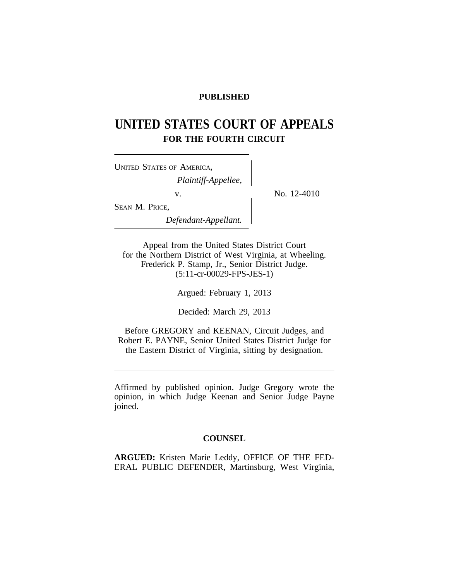# **PUBLISHED**

# **UNITED STATES COURT OF APPEALS FOR THE FOURTH CIRCUIT**

| <b>UNITED STATES OF AMERICA,</b> |  |
|----------------------------------|--|
| Plaintiff-Appellee,              |  |
| V.                               |  |
| SEAN M. PRICE,                   |  |
| Defendant-Appellant.             |  |

No. 12-4010

Appeal from the United States District Court for the Northern District of West Virginia, at Wheeling. Frederick P. Stamp, Jr., Senior District Judge. (5:11-cr-00029-FPS-JES-1)

Argued: February 1, 2013

Decided: March 29, 2013

Before GREGORY and KEENAN, Circuit Judges, and Robert E. PAYNE, Senior United States District Judge for the Eastern District of Virginia, sitting by designation.

Affirmed by published opinion. Judge Gregory wrote the opinion, in which Judge Keenan and Senior Judge Payne joined.

# **COUNSEL**

**ARGUED:** Kristen Marie Leddy, OFFICE OF THE FED-ERAL PUBLIC DEFENDER, Martinsburg, West Virginia,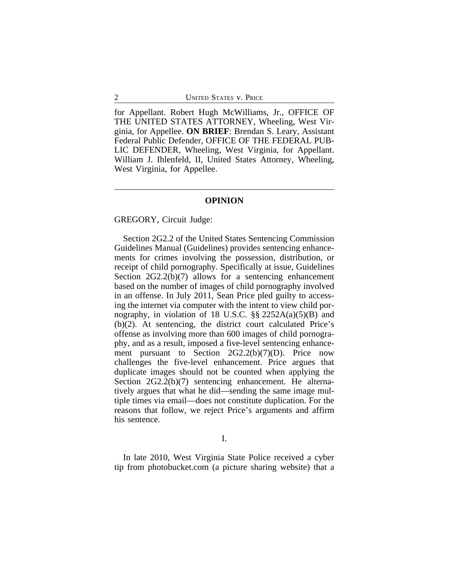for Appellant. Robert Hugh McWilliams, Jr., OFFICE OF THE UNITED STATES ATTORNEY, Wheeling, West Virginia, for Appellee. **ON BRIEF**: Brendan S. Leary, Assistant Federal Public Defender, OFFICE OF THE FEDERAL PUB-LIC DEFENDER, Wheeling, West Virginia, for Appellant. William J. Ihlenfeld, II, United States Attorney, Wheeling, West Virginia, for Appellee.

#### **OPINION**

### GREGORY, Circuit Judge:

Section 2G2.2 of the United States Sentencing Commission Guidelines Manual (Guidelines) provides sentencing enhancements for crimes involving the possession, distribution, or receipt of child pornography. Specifically at issue, Guidelines Section 2G2.2(b)(7) allows for a sentencing enhancement based on the number of images of child pornography involved in an offense. In July 2011, Sean Price pled guilty to accessing the internet via computer with the intent to view child pornography, in violation of 18 U.S.C. §§ 2252A(a)(5)(B) and (b)(2). At sentencing, the district court calculated Price's offense as involving more than 600 images of child pornography, and as a result, imposed a five-level sentencing enhancement pursuant to Section  $2G2.2(b)(7)(D)$ . Price now challenges the five-level enhancement. Price argues that duplicate images should not be counted when applying the Section 2G2.2(b)(7) sentencing enhancement. He alternatively argues that what he did—sending the same image multiple times via email—does not constitute duplication. For the reasons that follow, we reject Price's arguments and affirm his sentence.

I.

In late 2010, West Virginia State Police received a cyber tip from photobucket.com (a picture sharing website) that a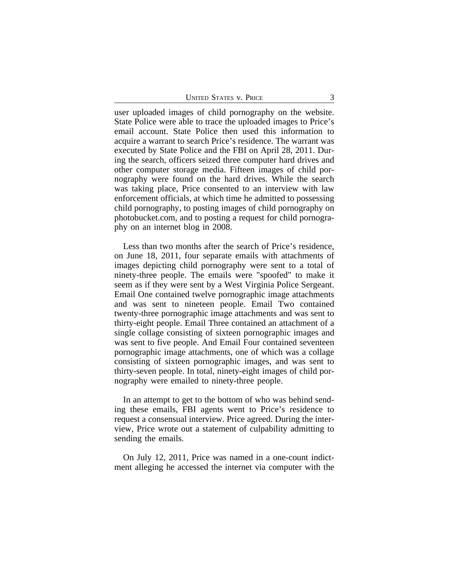user uploaded images of child pornography on the website. State Police were able to trace the uploaded images to Price's email account. State Police then used this information to acquire a warrant to search Price's residence. The warrant was executed by State Police and the FBI on April 28, 2011. During the search, officers seized three computer hard drives and other computer storage media. Fifteen images of child pornography were found on the hard drives. While the search was taking place, Price consented to an interview with law enforcement officials, at which time he admitted to possessing child pornography, to posting images of child pornography on photobucket.com, and to posting a request for child pornography on an internet blog in 2008.

Less than two months after the search of Price's residence, on June 18, 2011, four separate emails with attachments of images depicting child pornography were sent to a total of ninety-three people. The emails were "spoofed" to make it seem as if they were sent by a West Virginia Police Sergeant. Email One contained twelve pornographic image attachments and was sent to nineteen people. Email Two contained twenty-three pornographic image attachments and was sent to thirty-eight people. Email Three contained an attachment of a single collage consisting of sixteen pornographic images and was sent to five people. And Email Four contained seventeen pornographic image attachments, one of which was a collage consisting of sixteen pornographic images, and was sent to thirty-seven people. In total, ninety-eight images of child pornography were emailed to ninety-three people.

In an attempt to get to the bottom of who was behind sending these emails, FBI agents went to Price's residence to request a consensual interview. Price agreed. During the interview, Price wrote out a statement of culpability admitting to sending the emails.

On July 12, 2011, Price was named in a one-count indictment alleging he accessed the internet via computer with the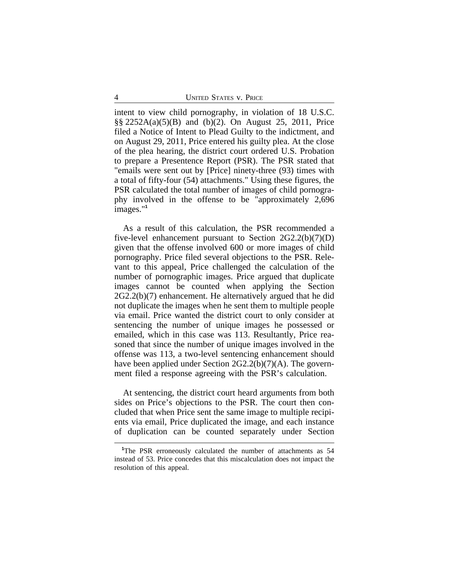intent to view child pornography, in violation of 18 U.S.C. §§ 2252A(a)(5)(B) and (b)(2). On August 25, 2011, Price filed a Notice of Intent to Plead Guilty to the indictment, and on August 29, 2011, Price entered his guilty plea. At the close of the plea hearing, the district court ordered U.S. Probation to prepare a Presentence Report (PSR). The PSR stated that "emails were sent out by [Price] ninety-three (93) times with a total of fifty-four (54) attachments." Using these figures, the PSR calculated the total number of images of child pornography involved in the offense to be "approximately 2,696 images."**<sup>1</sup>**

As a result of this calculation, the PSR recommended a five-level enhancement pursuant to Section 2G2.2(b)(7)(D) given that the offense involved 600 or more images of child pornography. Price filed several objections to the PSR. Relevant to this appeal, Price challenged the calculation of the number of pornographic images. Price argued that duplicate images cannot be counted when applying the Section 2G2.2(b)(7) enhancement. He alternatively argued that he did not duplicate the images when he sent them to multiple people via email. Price wanted the district court to only consider at sentencing the number of unique images he possessed or emailed, which in this case was 113. Resultantly, Price reasoned that since the number of unique images involved in the offense was 113, a two-level sentencing enhancement should have been applied under Section 2G2.2(b)(7)(A). The government filed a response agreeing with the PSR's calculation.

At sentencing, the district court heard arguments from both sides on Price's objections to the PSR. The court then concluded that when Price sent the same image to multiple recipients via email, Price duplicated the image, and each instance of duplication can be counted separately under Section

**<sup>1</sup>**The PSR erroneously calculated the number of attachments as 54 instead of 53. Price concedes that this miscalculation does not impact the resolution of this appeal.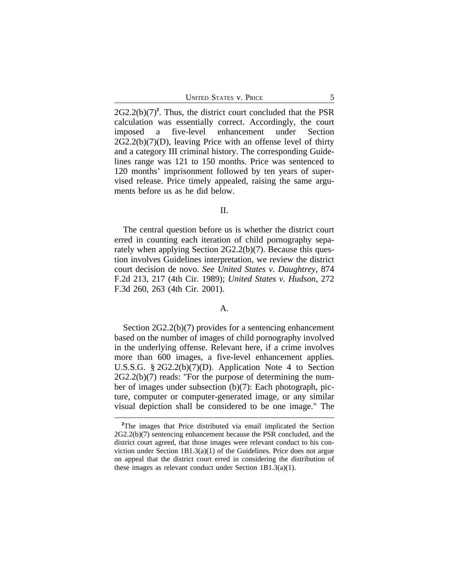2G2.2(b)(7)**<sup>2</sup>** . Thus, the district court concluded that the PSR calculation was essentially correct. Accordingly, the court imposed a five-level enhancement under Section  $2G2.2(b)(7)(D)$ , leaving Price with an offense level of thirty and a category III criminal history. The corresponding Guidelines range was 121 to 150 months. Price was sentenced to 120 months' imprisonment followed by ten years of supervised release. Price timely appealed, raising the same arguments before us as he did below.

## II.

The central question before us is whether the district court erred in counting each iteration of child pornography separately when applying Section 2G2.2(b)(7). Because this question involves Guidelines interpretation, we review the district court decision de novo. *See United States v. Daughtrey*, 874 F.2d 213, 217 (4th Cir. 1989); *United States v. Hudson*, 272 F.3d 260, 263 (4th Cir. 2001).

## A.

Section 2G2.2(b)(7) provides for a sentencing enhancement based on the number of images of child pornography involved in the underlying offense. Relevant here, if a crime involves more than 600 images, a five-level enhancement applies. U.S.S.G. § 2G2.2(b)(7)(D). Application Note 4 to Section 2G2.2(b)(7) reads: "For the purpose of determining the number of images under subsection (b)(7): Each photograph, picture, computer or computer-generated image, or any similar visual depiction shall be considered to be one image." The

<sup>&</sup>lt;sup>2</sup>The images that Price distributed via email implicated the Section 2G2.2(b)(7) sentencing enhancement because the PSR concluded, and the district court agreed, that those images were relevant conduct to his conviction under Section 1B1.3(a)(1) of the Guidelines. Price does not argue on appeal that the district court erred in considering the distribution of these images as relevant conduct under Section 1B1.3(a)(1).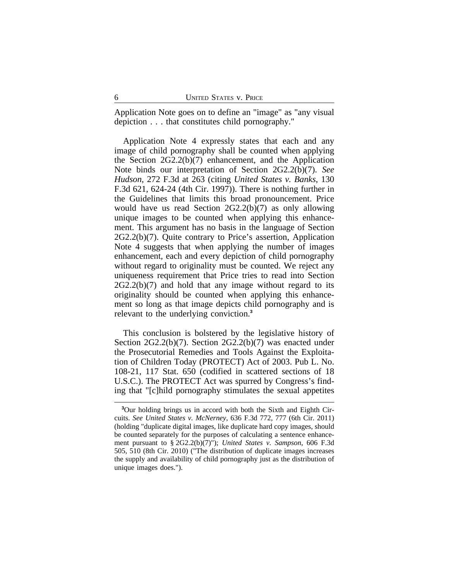Application Note goes on to define an "image" as "any visual depiction . . . that constitutes child pornography."

Application Note 4 expressly states that each and any image of child pornography shall be counted when applying the Section 2G2.2(b)(7) enhancement, and the Application Note binds our interpretation of Section 2G2.2(b)(7). *See Hudson*, 272 F.3d at 263 (citing *United States v. Banks*, 130 F.3d 621, 624-24 (4th Cir. 1997)). There is nothing further in the Guidelines that limits this broad pronouncement. Price would have us read Section 2G2.2(b)(7) as only allowing unique images to be counted when applying this enhancement. This argument has no basis in the language of Section 2G2.2(b)(7). Quite contrary to Price's assertion, Application Note 4 suggests that when applying the number of images enhancement, each and every depiction of child pornography without regard to originality must be counted. We reject any uniqueness requirement that Price tries to read into Section  $2G2.2(b)(7)$  and hold that any image without regard to its originality should be counted when applying this enhancement so long as that image depicts child pornography and is relevant to the underlying conviction.**<sup>3</sup>**

This conclusion is bolstered by the legislative history of Section 2G2.2(b)(7). Section 2G2.2(b)(7) was enacted under the Prosecutorial Remedies and Tools Against the Exploitation of Children Today (PROTECT) Act of 2003. Pub L. No. 108-21, 117 Stat. 650 (codified in scattered sections of 18 U.S.C.). The PROTECT Act was spurred by Congress's finding that "[c]hild pornography stimulates the sexual appetites

**<sup>3</sup>**Our holding brings us in accord with both the Sixth and Eighth Circuits. *See United States v. McNerney*, 636 F.3d 772, 777 (6th Cir. 2011) (holding "duplicate digital images, like duplicate hard copy images, should be counted separately for the purposes of calculating a sentence enhancement pursuant to § 2G2.2(b)(7)"); *United States v. Sampson*, 606 F.3d 505, 510 (8th Cir. 2010) ("The distribution of duplicate images increases the supply and availability of child pornography just as the distribution of unique images does.").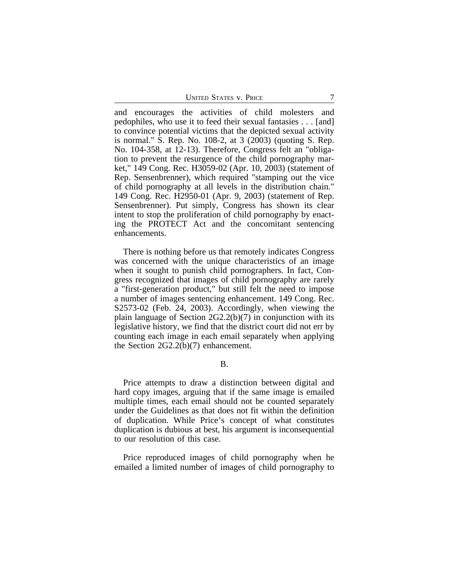and encourages the activities of child molesters and pedophiles, who use it to feed their sexual fantasies . . . [and] to convince potential victims that the depicted sexual activity is normal." S. Rep. No. 108-2, at 3 (2003) (quoting S. Rep. No. 104-358, at 12-13). Therefore, Congress felt an "obligation to prevent the resurgence of the child pornography market," 149 Cong. Rec. H3059-02 (Apr. 10, 2003) (statement of Rep. Sensenbrenner), which required "stamping out the vice of child pornography at all levels in the distribution chain." 149 Cong. Rec. H2950-01 (Apr. 9, 2003) (statement of Rep. Sensenbrenner). Put simply, Congress has shown its clear intent to stop the proliferation of child pornography by enacting the PROTECT Act and the concomitant sentencing enhancements.

There is nothing before us that remotely indicates Congress was concerned with the unique characteristics of an image when it sought to punish child pornographers. In fact, Congress recognized that images of child pornography are rarely a "first-generation product," but still felt the need to impose a number of images sentencing enhancement. 149 Cong. Rec. S2573-02 (Feb. 24, 2003). Accordingly, when viewing the plain language of Section 2G2.2(b)(7) in conjunction with its legislative history, we find that the district court did not err by counting each image in each email separately when applying the Section 2G2.2(b)(7) enhancement.

B.

Price attempts to draw a distinction between digital and hard copy images, arguing that if the same image is emailed multiple times, each email should not be counted separately under the Guidelines as that does not fit within the definition of duplication. While Price's concept of what constitutes duplication is dubious at best, his argument is inconsequential to our resolution of this case.

Price reproduced images of child pornography when he emailed a limited number of images of child pornography to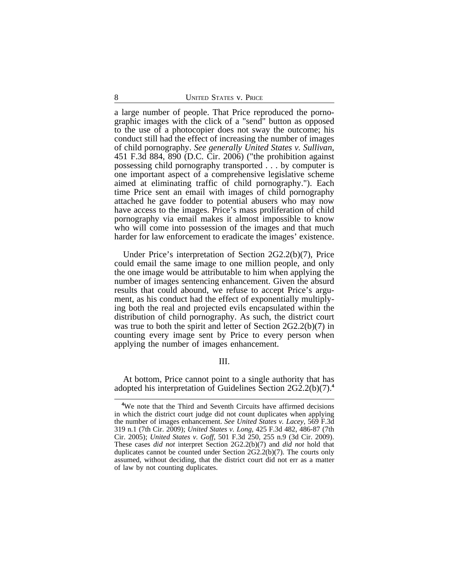a large number of people. That Price reproduced the pornographic images with the click of a "send" button as opposed to the use of a photocopier does not sway the outcome; his conduct still had the effect of increasing the number of images of child pornography. *See generally United States v. Sullivan*, 451 F.3d 884, 890 (D.C. Cir. 2006) ("the prohibition against possessing child pornography transported . . . by computer is one important aspect of a comprehensive legislative scheme aimed at eliminating traffic of child pornography."). Each time Price sent an email with images of child pornography attached he gave fodder to potential abusers who may now have access to the images. Price's mass proliferation of child pornography via email makes it almost impossible to know who will come into possession of the images and that much harder for law enforcement to eradicate the images' existence.

Under Price's interpretation of Section 2G2.2(b)(7), Price could email the same image to one million people, and only the one image would be attributable to him when applying the number of images sentencing enhancement. Given the absurd results that could abound, we refuse to accept Price's argument, as his conduct had the effect of exponentially multiplying both the real and projected evils encapsulated within the distribution of child pornography. As such, the district court was true to both the spirit and letter of Section 2G2.2(b)(7) in counting every image sent by Price to every person when applying the number of images enhancement.

III.

At bottom, Price cannot point to a single authority that has adopted his interpretation of Guidelines Section 2G2.2(b)(7).**<sup>4</sup>**

**<sup>4</sup>**We note that the Third and Seventh Circuits have affirmed decisions in which the district court judge did not count duplicates when applying the number of images enhancement. *See United States v. Lacey*, 569 F.3d 319 n.1 (7th Cir. 2009); *United States v. Long*, 425 F.3d 482, 486-87 (7th Cir. 2005); *United States v. Goff*, 501 F.3d 250, 255 n.9 (3d Cir. 2009). These cases *did not* interpret Section 2G2.2(b)(7) and *did not* hold that duplicates cannot be counted under Section  $2G2.2(b)(7)$ . The courts only assumed, without deciding, that the district court did not err as a matter of law by not counting duplicates.